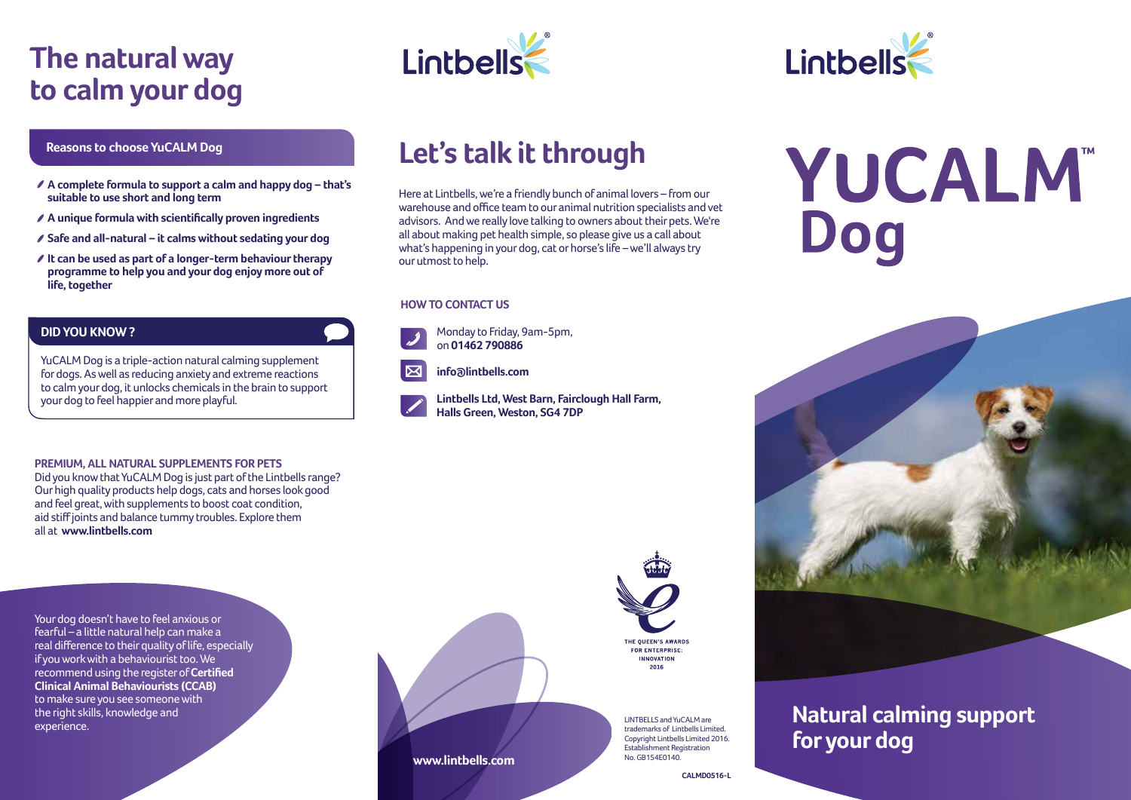## **The natural way to calm your dog**

#### **Reasons to choose YuCALM Dog**

- **A complete formula to support a calm and happy dog that's suitable to use short and long term**
- **A unique formula with scientifically proven ingredients**
- **Safe and all-natural it calms without sedating your dog**
- **It can be used as part of a longer-term behaviour therapy programme to help you and your dog enjoy more out of life, together**

#### **DID YOU KNOW ?**

YuCALM Dog is a triple-action natural calming supplement for dogs. As well as reducing anxiety and extreme reactions to calm your dog, it unlocks chemicals in the brain to support your dog to feel happier and more playful.

#### **PREMIUM, ALL NATURAL SUPPLEMENTS FOR PETS**

Did you know that YuCALM Dog is just part of the Lintbells range? Our high quality products help dogs, cats and horses look good and feel great, with supplements to boost coat condition, aid stiff joints and balance tummy troubles. Explore them all at **www.lintbells.com** 

Your dog doesn't have to feel anxious or fearful – a little natural help can make a real difference to their quality of life, especially if you work with a behaviourist too. We recommend using the register of **Certified Clinical Animal Behaviourists (CCAB)** to make sure you see someone with the right skills, knowledge and experience.





## **Let's talk it through**

Here at Lintbells, we're a friendly bunch of animal lovers – from our warehouse and office team to our animal nutrition specialists and vet advisors. And we really love talking to owners about their pets. We're all about making pet health simple, so please give us a call about what's happening in your dog, cat or horse's life – we'll always try our utmost to help.

#### **HOW TO CONTACT US**



**www.lintbells.com**





 **info@lintbells.com**

 **Lintbells Ltd, West Barn, Fairclough Hall Farm, Halls Green, Weston, SG4 7DP**



LINTBELLS and YuCALM are trademarks of Lintbells Limited. Copyright Lintbells Limited 2016. Establishment Registration No. GR154F0140

# **YUCALM** Dog



### **Natural calming support for your dog**